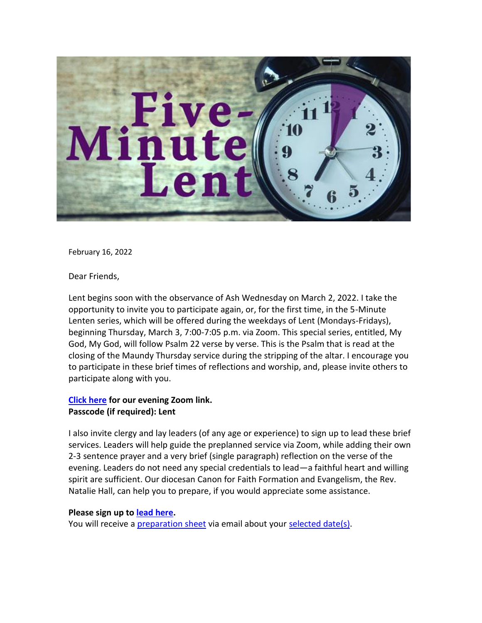

February 16, 2022

Dear Friends,

Lent begins soon with the observance of Ash Wednesday on March 2, 2022. I take the opportunity to invite you to participate again, or, for the first time, in the 5-Minute Lenten series, which will be offered during the weekdays of Lent (Mondays-Fridays), beginning Thursday, March 3, 7:00-7:05 p.m. via Zoom. This special series, entitled, My God, My God, will follow Psalm 22 verse by verse. This is the Psalm that is read at the closing of the Maundy Thursday service during the stripping of the altar. I encourage you to participate in these brief times of reflections and worship, and, please invite others to participate along with you.

## **[Click here](https://us02web.zoom.us/j/83396915084?pwd=VDZ3WjFIOXc4ZWVrc0cyMFBnR0NmZz09) for our evening Zoom link. Passcode (if required): Lent**

I also invite clergy and lay leaders (of any age or experience) to sign up to lead these brief services. Leaders will help guide the preplanned service via Zoom, while adding their own 2-3 sentence prayer and a very brief (single paragraph) reflection on the verse of the evening. Leaders do not need any special credentials to lead—a faithful heart and willing spirit are sufficient. Our diocesan Canon for Faith Formation and Evangelism, the Rev. Natalie Hall, can help you to prepare, if you would appreciate some assistance.

## **Please sign up to [lead here.](https://www.signupgenius.com/go/10C0C48A4AE2AA7FCC07-5minute1)**

You will receive a [preparation sheet](https://www.episcopalpgh.org/docs/5-Minute-Lent-Preparation-Instruction-Sheet.pdf) via email about your [selected date\(s\).](https://www.episcopalpgh.org/docs/Five-Minute-Lent-2022.pdf)